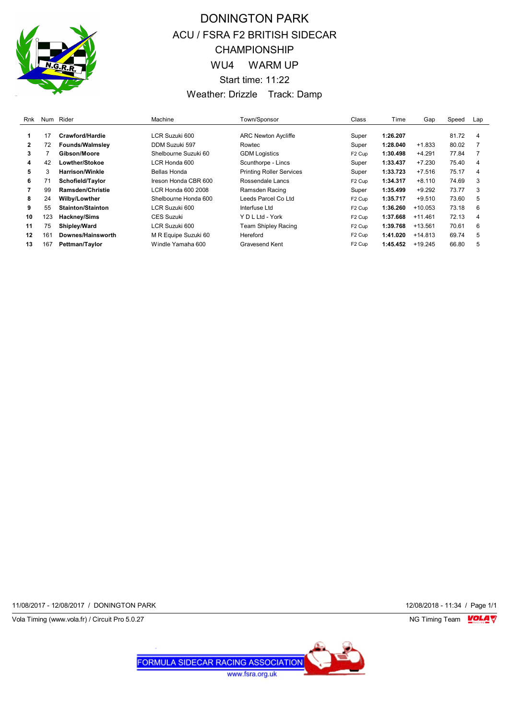

## DONINGTON PARK ACU / FSRA F2 BRITISH SIDECAR CHAMPIONSHIP WU4 WARM UP Start time: 11:22 Weather: Drizzle Track: Damp

| Rnk          | Num | Rider                    | Machine              | Town/Sponsor                    | <b>Class</b>       | Time     | Gap       | Speed | Lap            |
|--------------|-----|--------------------------|----------------------|---------------------------------|--------------------|----------|-----------|-------|----------------|
|              |     | Crawford/Hardie          |                      |                                 |                    |          |           | 81.72 |                |
|              | 17  |                          | LCR Suzuki 600       | <b>ARC Newton Aycliffe</b>      | Super              | 1:26.207 |           |       | 4              |
| $\mathbf{2}$ | 72  | <b>Founds/Walmsley</b>   | DDM Suzuki 597       | Rowtec                          | Super              | 1:28.040 | $+1.833$  | 80.02 |                |
| 3            |     | Gibson/Moore             | Shelbourne Suzuki 60 | <b>GDM Logistics</b>            | F <sub>2</sub> Cup | 1:30.498 | $+4.291$  | 77.84 |                |
| 4            | 42  | Lowther/Stokoe           | LCR Honda 600        | Scunthorpe - Lincs              | Super              | 1:33.437 | $+7.230$  | 75.40 | 4              |
| 5.           | 3   | <b>Harrison/Winkle</b>   | Bellas Honda         | <b>Printing Roller Services</b> | Super              | 1:33.723 | $+7.516$  | 75.17 | $\overline{4}$ |
| 6            | 71  | Schofield/Taylor         | Ireson Honda CBR 600 | Rossendale Lancs                | F <sub>2</sub> Cup | 1:34.317 | $+8.110$  | 74.69 | 3              |
|              | 99  | <b>Ramsden/Christie</b>  | LCR Honda 600 2008   | Ramsden Racing                  | Super              | 1:35.499 | $+9.292$  | 73.77 | 3              |
| 8            | 24  | Wilby/Lowther            | Shelbourne Honda 600 | Leeds Parcel Co Ltd             | F <sub>2</sub> Cup | 1:35.717 | $+9.510$  | 73.60 | 5              |
| 9            | 55  | <b>Stainton/Stainton</b> | LCR Suzuki 600       | Interfuse Ltd                   | F <sub>2</sub> Cup | 1:36.260 | $+10.053$ | 73.18 | 6              |
| 10           | 123 | Hackney/Sims             | <b>CES Suzuki</b>    | Y D L Ltd - York                | F <sub>2</sub> Cup | 1:37.668 | $+11.461$ | 72.13 | $\overline{4}$ |
| 11           | 75  | Shipley/Ward             | LCR Suzuki 600       | Team Shipley Racing             | F <sub>2</sub> Cup | 1:39.768 | $+13.561$ | 70.61 | 6              |
| 12           | 161 | Downes/Hainsworth        | M R Equipe Suzuki 60 | Hereford                        | F <sub>2</sub> Cup | 1:41.020 | $+14.813$ | 69.74 | 5              |
| 13           | 167 | Pettman/Taylor           | Windle Yamaha 600    | Gravesend Kent                  | F <sub>2</sub> Cup | 1:45.452 | $+19.245$ | 66.80 | 5              |

11/08/2017 - 12/08/2017 / DONINGTON PARK 12/08/2018 - 11:34 / Page 1/1

Vola Timing (www.vola.fr) / Circuit Pro 5.0.27 **NG Timing Team MOLA View Account Property** 

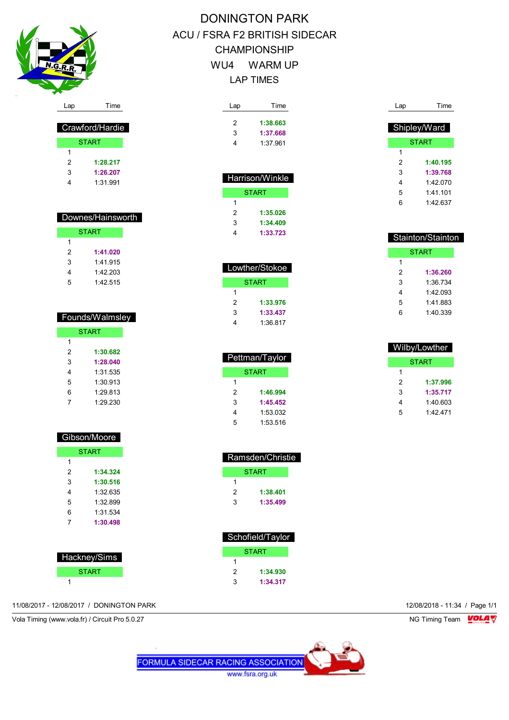

 Crawford/Hardie **START** 

 **1:28.217 1:26.207** 1:31.991

 Downes/Hainsworth START

> **1:41.020** 1:41.915 1:42.203 1:42.515

 Founds/Walmsley **START** 

> **1:30.682 1:28.040** 1:31.535 1:30.913 1:29.813 1:29.230

 $\overline{1}$ 

 $\overline{1}$ 

# DONINGTON PARK ACU / FSRA F2 BRITISH SIDECAR CHAMPIONSHIP WU4 WARM UP LAP TIMES

| Lap | Time     |  |  |
|-----|----------|--|--|
| 2   | 1:38.663 |  |  |
| 3   | 1:37.668 |  |  |
| Δ.  | 1:37.961 |  |  |
|     |          |  |  |

| <u>Harrison/Winkle</u> |          |  |  |  |
|------------------------|----------|--|--|--|
| START                  |          |  |  |  |
| 1                      |          |  |  |  |
| 2                      | 1:35.026 |  |  |  |
| 3                      | 1:34.409 |  |  |  |
| 1:33.723               |          |  |  |  |

| Lowther/Stokoe |          |  |  |  |  |
|----------------|----------|--|--|--|--|
| START          |          |  |  |  |  |
| 1              |          |  |  |  |  |
| 2              | 1:33.976 |  |  |  |  |
| 3              | 1:33.437 |  |  |  |  |
| 1:36 817       |          |  |  |  |  |

| Pettman/Taylor |          |  |  |  |
|----------------|----------|--|--|--|
| START          |          |  |  |  |
| 1              |          |  |  |  |
| 2<br>1:46.994  |          |  |  |  |
| 3              | 1:45.452 |  |  |  |
| 1:53.032<br>4  |          |  |  |  |
| 5<br>1:53.516  |          |  |  |  |

 Ramsden/Christie **START** 

 **1:38.401 1:35.499**

| Lap | Time         |
|-----|--------------|
|     | Shipley/Ward |
|     | <b>START</b> |
| 1   |              |
| 2   | 1:40.195     |
| 3   | 1:39.768     |
| 4   | 1:42 070     |
| 5   | 1.41 101     |
| 6   | 1:42.637     |

| <b>Stainton/Stainton</b>       |          |  |  |  |  |
|--------------------------------|----------|--|--|--|--|
|                                | START    |  |  |  |  |
| 1                              |          |  |  |  |  |
| 2<br>1:36.260                  |          |  |  |  |  |
| 3                              | 1:36 734 |  |  |  |  |
| 4                              | 1:42 093 |  |  |  |  |
| 5<br>1:41 883<br>1.40.339<br>հ |          |  |  |  |  |
|                                |          |  |  |  |  |

| Wilby/Lowther |              |  |  |  |  |  |
|---------------|--------------|--|--|--|--|--|
|               | <b>START</b> |  |  |  |  |  |
| 1             |              |  |  |  |  |  |
| 2             | 1:37.996     |  |  |  |  |  |
| 3             | 1:35.717     |  |  |  |  |  |
| 4             | 1:40.603     |  |  |  |  |  |
| 5             | 1.42 471     |  |  |  |  |  |

| Gibson/Moore  |          |  |  |  |  |
|---------------|----------|--|--|--|--|
| <b>START</b>  |          |  |  |  |  |
| 1             |          |  |  |  |  |
| 2             | 1:34.324 |  |  |  |  |
| 3<br>1:30.516 |          |  |  |  |  |
| 4             | 1:32 635 |  |  |  |  |
| 5             | 1:32.899 |  |  |  |  |
| 1:31.534<br>6 |          |  |  |  |  |
| 1:30.498<br>7 |          |  |  |  |  |
|               |          |  |  |  |  |

| Hacknev/Sims |  |  |  |  |
|--------------|--|--|--|--|
| <b>START</b> |  |  |  |  |
|              |  |  |  |  |

| Schofield/Taylor |          |  |  |  |
|------------------|----------|--|--|--|
| START            |          |  |  |  |
| 1                |          |  |  |  |
| 2                | 1:34.930 |  |  |  |
| 3                | 1:34.317 |  |  |  |

**FORMULA SIDECAR RACING ASSOCIATION** www.fsra.org.uk

## 11/08/2017 - 12/08/2017 / DONINGTON PARK 12/08/2018 - 11:34 / Page 1/1

Vola Timing (www.vola.fr) / Circuit Pro 5.0.27 NG Timing Team VOLA V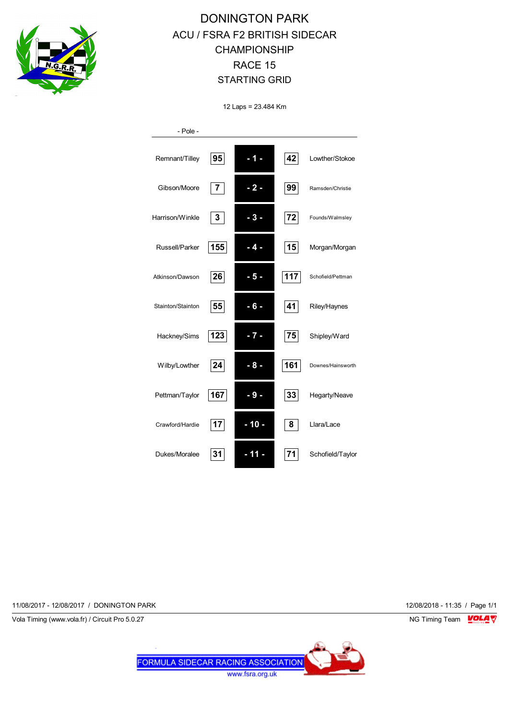

## DONINGTON PARK ACU / FSRA F2 BRITISH SIDECAR CHAMPIONSHIP RACE 15 STARTING GRID

12 Laps = 23.484 Km

| - Pole -          |     |        |     |                   |
|-------------------|-----|--------|-----|-------------------|
| Remnant/Tilley    | 95  | - 1 -  | 42  | Lowther/Stokoe    |
| Gibson/Moore      | 7   | $-2-$  | 99  | Ramsden/Christie  |
| Harrison/Winkle   | 3   | $-3-$  | 72  | Founds/Walmsley   |
| Russell/Parker    | 155 | 4.     | 15  | Morgan/Morgan     |
| Atkinson/Dawson   | 26  | - 5 -  | 117 | Schofield/Pettman |
| Stainton/Stainton | 55  | - 6 -  | 41  | Riley/Haynes      |
| Hackney/Sims      | 123 | -7-    | 75  | Shipley/Ward      |
| Wilby/Lowther     | 24  | $-8-$  | 161 | Downes/Hainsworth |
| Pettman/Taylor    | 167 | $-9-$  | 33  | Hegarty/Neave     |
| Crawford/Hardie   | 17  | $-10-$ | 8   | Llara/Lace        |
| Dukes/Moralee     | 31  | - 11   | 71  | Schofield/Taylor  |

11/08/2017 - 12/08/2017 / DONINGTON PARK 12/08/2018 - 11:35 / Page 1/1

Vola Timing (www.vola.fr) / Circuit Pro 5.0.27 NG Timing Team Museum of the Superior Studies of the Superior Studies of the Superior Studies of the Superior Studies of the Superior Studies of the Superior Studies of the Su

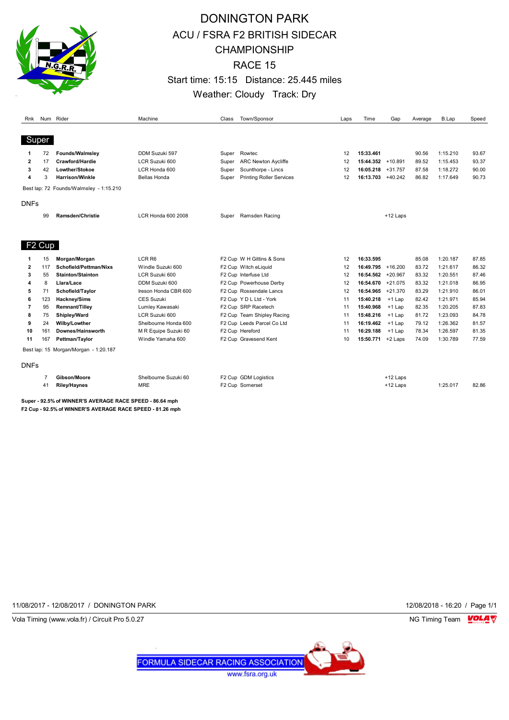

## DONINGTON PARK ACU / FSRA F2 BRITISH SIDECAR CHAMPIONSHIP RACE 15 Start time: 15:15 Distance: 25.445 miles Weather: Cloudy Track: Dry

| Rnk            |     | Num Rider                               | Machine                   | Class | Town/Sponsor                    | Laps | Time              | Gap        | Average | <b>B.Lap</b> | Speed |
|----------------|-----|-----------------------------------------|---------------------------|-------|---------------------------------|------|-------------------|------------|---------|--------------|-------|
|                |     |                                         |                           |       |                                 |      |                   |            |         |              |       |
| Super          |     |                                         |                           |       |                                 |      |                   |            |         |              |       |
| 1              | 72  | Founds/Walmsley                         | DDM Suzuki 597            | Super | Rowtec                          | 12   | 15:33.461         |            | 90.56   | 1:15.210     | 93.67 |
| $\overline{2}$ | 17  | Crawford/Hardie                         | LCR Suzuki 600            | Super | <b>ARC Newton Aycliffe</b>      | 12   | 15:44.352         | $+10.891$  | 89.52   | 1:15.453     | 93.37 |
| 3              | 42  | Lowther/Stokoe                          | LCR Honda 600             | Super | Scunthorpe - Lincs              | 12   | 16:05.218         | $+31.757$  | 87.58   | 1:18.272     | 90.00 |
| 4              | 3   | <b>Harrison/Winkle</b>                  | <b>Bellas Honda</b>       | Super | <b>Printing Roller Services</b> | 12   | 16:13.703 +40.242 |            | 86.82   | 1:17.649     | 90.73 |
|                |     | Best lap: 72 Founds/Walmsley - 1:15.210 |                           |       |                                 |      |                   |            |         |              |       |
| <b>DNFs</b>    |     |                                         |                           |       |                                 |      |                   |            |         |              |       |
|                | 99  | Ramsden/Christie                        | <b>LCR Honda 600 2008</b> | Super | Ramsden Racing                  |      |                   | $+12$ Laps |         |              |       |
|                |     |                                         |                           |       |                                 |      |                   |            |         |              |       |
|                |     |                                         |                           |       |                                 |      |                   |            |         |              |       |
| F2 Cup         |     |                                         |                           |       |                                 |      |                   |            |         |              |       |
| 1              | 15  | Morgan/Morgan                           | LCR <sub>R6</sub>         |       | F2 Cup W H Gittins & Sons       | 12   | 16:33.595         |            | 85.08   | 1:20.187     | 87.85 |
| $\overline{2}$ | 117 | Schofield/Pettman/Nixs                  | Windle Suzuki 600         |       | F2 Cup Witch eLiquid            | 12   | 16:49.795         | $+16.200$  | 83.72   | 1:21.617     | 86.32 |
| 3              | 55  | <b>Stainton/Stainton</b>                | LCR Suzuki 600            |       | F2 Cup Interfuse Ltd            | 12   | 16:54.562         | $+20.967$  | 83.32   | 1:20.551     | 87.46 |
| 4              | 8   | Llara/Lace                              | DDM Suzuki 600            |       | F2 Cup Powerhouse Derby         | 12   | 16:54.670         | $+21.075$  | 83.32   | 1:21.018     | 86.95 |
| 5              | 71  | Schofield/Taylor                        | Ireson Honda CBR 600      |       | F2 Cup Rossendale Lancs         | 12   | 16:54.965         | $+21.370$  | 83.29   | 1:21.910     | 86.01 |
| 6              | 123 | Hackney/Sims                            | <b>CES Suzuki</b>         |       | F2 Cup Y D L Ltd - York         | 11   | 15:40.218         | $+1$ Lap   | 82.42   | 1:21.971     | 85.94 |
| 7              | 95  | Remnant/Tilley                          | Lumley Kawasaki           |       | F2 Cup SRP Racetech             | 11   | 15:40.968         | $+1$ Lap   | 82.35   | 1:20.205     | 87.83 |
| 8              | 75  | Shipley/Ward                            | LCR Suzuki 600            |       | F2 Cup Team Shipley Racing      | 11   | 15:48.216         | $+1$ Lap   | 81.72   | 1:23.093     | 84.78 |
| 9              | 24  | Wilby/Lowther                           | Shelbourne Honda 600      |       | F2 Cup Leeds Parcel Co Ltd      | 11   | 16:19.462         | $+1$ Lap   | 79.12   | 1:26.362     | 81.57 |
| 10             | 161 | Downes/Hainsworth                       | M R Equipe Suzuki 60      |       | F2 Cup Hereford                 | 11   | 16:29.188         | $+1$ Lap   | 78.34   | 1:26.597     | 81.35 |
| 11             | 167 | Pettman/Taylor                          | Windle Yamaha 600         |       | F2 Cup Gravesend Kent           | 10   | 15:50.771         | +2 Laps    | 74.09   | 1:30.789     | 77.59 |
|                |     | Best lap: 15 Morgan/Morgan - 1:20.187   |                           |       |                                 |      |                   |            |         |              |       |
| <b>DNFs</b>    |     |                                         |                           |       |                                 |      |                   |            |         |              |       |
|                |     | Gibson/Moore                            | Shelbourne Suzuki 60      |       | F2 Cup GDM Logistics            |      |                   | $+12$ Laps |         |              |       |
|                | 41  | <b>Riley/Haynes</b>                     | <b>MRE</b>                |       | F2 Cup Somerset                 |      |                   | $+12$ Laps |         | 1:25.017     | 82.86 |
|                |     |                                         |                           |       |                                 |      |                   |            |         |              |       |

**Super - 92.5% of WINNER'S AVERAGE RACE SPEED - 86.64 mph F2 Cup - 92.5% of WINNER'S AVERAGE RACE SPEED - 81.26 mph**

11/08/2017 - 12/08/2017 / DONINGTON PARK 12/08/2018 - 16:20 / Page 1/1



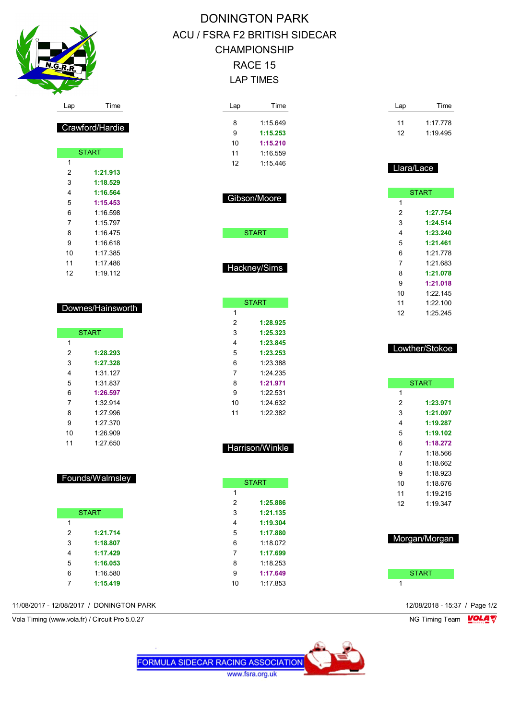

Crawford/Hardie

**START** 

 **1:21.913 1:18.529 1:16.564 1:15.453** 1:16.598 1:15.797 1:16.475 1:16.618 1:17.385 1:17.486 1:19.112

Downes/Hainsworth

**START** 

 **1:28.293 1:27.328** 1:31.127 1:31.837 **1:26.597** 1:32.914 1:27.996 1:27.370 1:26.909 1:27.650

Founds/Walmsley

**START** 

 **1:21.714 1:18.807 1:17.429 1:16.053** 1:16.580

## DONINGTON PARK ACU / FSRA F2 BRITISH SIDECAR CHAMPIONSHIP RACE 15 LAP TIMES

| Lap | Time     |  |
|-----|----------|--|
|     |          |  |
| 8   | 1:15 649 |  |
| 9   | 1:15.253 |  |
| 10  | 1:15.210 |  |
| 11  | 1:16.559 |  |
| 12  | 1:15.446 |  |
|     |          |  |

Gibson/Moore

**START** 

Hackney/Sims

 $\overline{1}$ 

**START** 

 **1:28.925 1:25.323 1:23.845 1:23.253** 1:23.388 1:24.235 **1:21.971** 1:22.531 1:24.632 1:22.382

Harrison/Winkle

START

 **1:25.886 1:21.135 1:19.304 1:17.880** 1:18.072 **1:17.699** 1:18.253 **1:17.649** 1:17.853

| Lap | Time     |
|-----|----------|
| 11  | 1.17778  |
| 12  | 1:19.495 |

### Llara/Lace

|    | <b>START</b> |
|----|--------------|
| 1  |              |
| 2  | 1:27.754     |
| 3  | 1:24.514     |
| 4  | 1:23.240     |
| 5  | 1:21.461     |
| 6  | 1:21778      |
| 7  | 1:21.683     |
| 8  | 1:21.078     |
| 9  | 1:21.018     |
| 10 | 1:22.145     |
| 11 | 1:22.100     |
| 12 | 1:25.245     |

### Lowther/Stokoe

|    | <b>START</b> |
|----|--------------|
| 1  |              |
| 2  | 1:23.971     |
| 3  | 1:21.097     |
| 4  | 1:19.287     |
| 5  | 1:19.102     |
| 6  | 1:18.272     |
| 7  | 1:18.566     |
| 8  | 1.18662      |
| 9  | 1:18.923     |
| 10 | 1.18 676     |
| 11 | 1.19215      |
| 12 | 1.19.347     |
|    |              |



| . |  |
|---|--|
|   |  |

**1:15.419**

11/08/2017 - 12/08/2017 / DONINGTON PARK 12/08/2018 - 15:37 / Page 1/2

Vola Timing (www.vola.fr) / Circuit Pro 5.0.27 NG Timing Team NG Timing Team NG Timing Team NG Timing Team NG

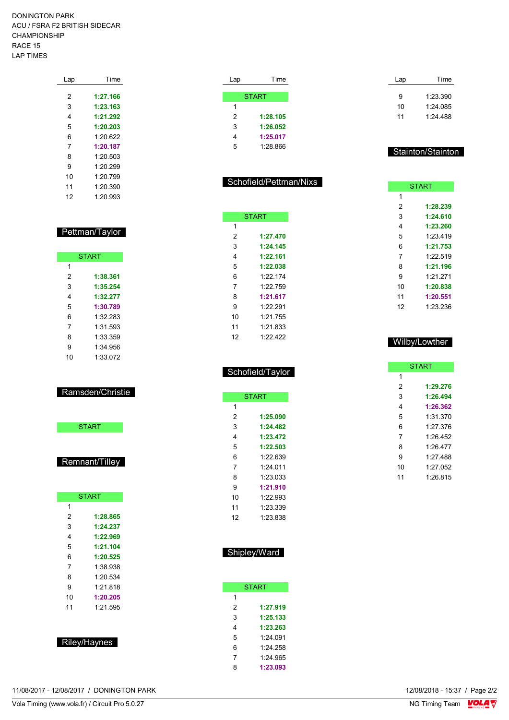DONINGTON PARK ACU / FSRA F2 BRITISH SIDECAR CHAMPIONSHIP RACE 15 LAP TIMES

| Lap | Time     |
|-----|----------|
| 2   | 1:27.166 |
| 3   | 1:23.163 |
| 4   | 1:21.292 |
| 5   | 1:20.203 |
| 6   | 1:20.622 |
| 7   | 1:20.187 |
| 8   | 1.20.503 |
| 9   | 1.20.299 |
| 10  | 1:20.799 |
| 11  | 1.20.390 |
| 12  | 1.2093   |

### Pettman/Taylor

Г

|    | <b>START</b> |
|----|--------------|
| 1  |              |
| 2  | 1:38.361     |
| 3  | 1:35.254     |
| 4  | 1:32.277     |
| 5  | 1:30.789     |
| 6  | 1:32 283     |
| 7  | 1:31.593     |
| 8  | 1:33.359     |
| 9  | 1:34 956     |
| 10 | 1:33.072     |

### Ramsden/Christie

| <b>START</b> |
|--------------|
|--------------|

### Remnant/Tilley

|              | <b>START</b> |  |  |  |
|--------------|--------------|--|--|--|
| 1            |              |  |  |  |
| 2            | 1:28.865     |  |  |  |
| 3            | 1:24.237     |  |  |  |
| 4            | 1:22.969     |  |  |  |
| 5            | 1:21.104     |  |  |  |
| 6            | 1:20.525     |  |  |  |
| 7            | 1:38.938     |  |  |  |
| 8            | 1.20 534     |  |  |  |
| 9            | 1.21.818     |  |  |  |
| 10           | 1:20.205     |  |  |  |
| 11           | 1:21.595     |  |  |  |
|              |              |  |  |  |
|              |              |  |  |  |
|              |              |  |  |  |
| Riley/Haynes |              |  |  |  |

| Lap | Time         |
|-----|--------------|
|     |              |
|     | <b>START</b> |
| 1   |              |
| 2   | 1:28.105     |
| 3   | 1:26.052     |
| 4   | 1:25.017     |
| 5   | 1.28866      |

### Schofield/Pettman/Nixs

| <b>START</b>   |  |
|----------------|--|
| 1              |  |
| 2<br>1:27.470  |  |
| 3<br>1:24.145  |  |
| 4<br>1:22.161  |  |
| 5<br>1:22.038  |  |
| 6<br>1.22 174  |  |
| 7<br>1.22 759  |  |
| 8<br>1:21.617  |  |
| 9<br>1.22.291  |  |
| 10<br>1.21 755 |  |
| 11<br>1:21 833 |  |
| 1.22 422<br>12 |  |

| Schofield/Taylor |
|------------------|
|                  |
|                  |

|    | <b>START</b> |
|----|--------------|
| 1  |              |
| 2  | 1:25.090     |
| 3  | 1:24.482     |
| 4  | 1:23.472     |
| 5  | 1:22.503     |
| 6  | 1.22 639     |
| 7  | 1.24 011     |
| 8  | 1:23 033     |
| 9  | 1:21.910     |
| 10 | 1.22.993     |
| 11 | 1:23.339     |
| 12 | 1:23.838     |

| Shipley/Ward |
|--------------|
|              |

|   | <b>START</b> |
|---|--------------|
| 1 |              |
| 2 | 1:27.919     |
| 3 | 1:25.133     |
| 4 | 1:23.263     |
| 5 | 1.24091      |
| 6 | 1:24 258     |
| 7 | 1:24.965     |
| 8 | 1:23.093     |

| Lap | Time     |
|-----|----------|
| 9   | 1.23.390 |
| 10  | 1.24 085 |
| 11  | 1.24 488 |

#### Stainton/Stainton

|    | <b>START</b> |
|----|--------------|
| 1  |              |
| 2  | 1:28.239     |
| 3  | 1:24.610     |
| 4  | 1:23.260     |
| 5  | 1.23419      |
| 6  | 1:21.753     |
| 7  | 1.22.519     |
| 8  | 1:21.196     |
| 9  | 1.21.271     |
| 10 | 1:20.838     |
| 11 | 1:20.551     |
| 12 | 1:23.236     |
|    |              |

#### Wilby/Lowther

|    | <b>START</b> |
|----|--------------|
| 1  |              |
| 2  | 1:29.276     |
| 3  | 1:26.494     |
| 4  | 1:26.362     |
| 5  | 1:31.370     |
| 6  | 1.27 376     |
| 7  | 1.26 452     |
| 8  | 1.26477      |
| 9  | 1.27 488     |
| 10 | 1:27.052     |
| 11 | 1.26815      |
|    |              |

11/08/2017 - 12/08/2017 / DONINGTON PARK